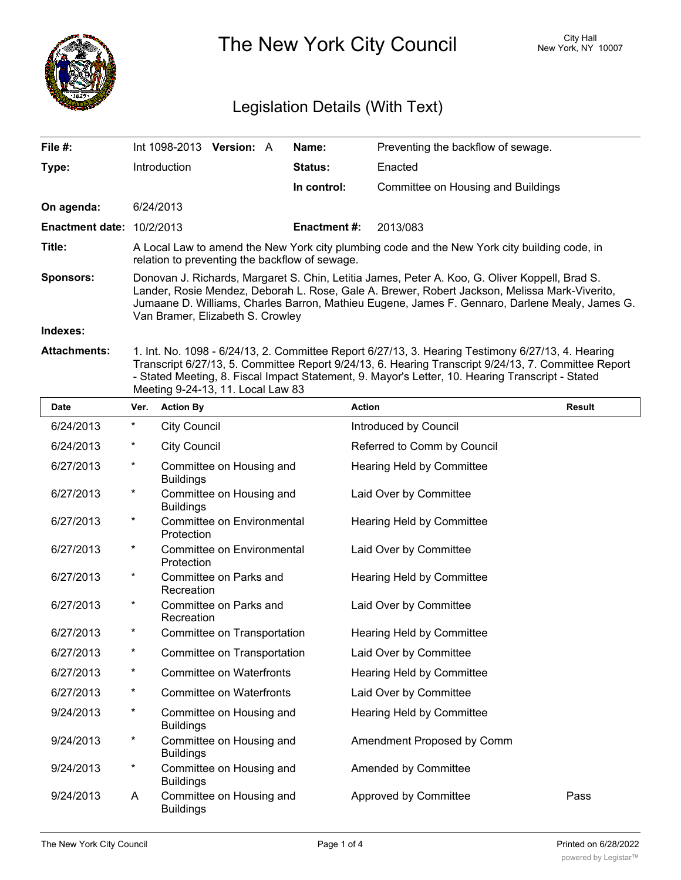

The New York City Council New York, NY 10007

## Legislation Details (With Text)

| File #:                          | Int 1098-2013 Version: A                                                                                                                                                                                                                                                                                                              |  |  | Name:          | Preventing the backflow of sewage.                                                        |
|----------------------------------|---------------------------------------------------------------------------------------------------------------------------------------------------------------------------------------------------------------------------------------------------------------------------------------------------------------------------------------|--|--|----------------|-------------------------------------------------------------------------------------------|
| Type:                            | Introduction                                                                                                                                                                                                                                                                                                                          |  |  | <b>Status:</b> | Enacted                                                                                   |
|                                  |                                                                                                                                                                                                                                                                                                                                       |  |  | In control:    | Committee on Housing and Buildings                                                        |
| On agenda:                       | 6/24/2013                                                                                                                                                                                                                                                                                                                             |  |  |                |                                                                                           |
| <b>Enactment date: 10/2/2013</b> |                                                                                                                                                                                                                                                                                                                                       |  |  | Enactment #:   | 2013/083                                                                                  |
| Title:                           | A Local Law to amend the New York city plumbing code and the New York city building code, in<br>relation to preventing the backflow of sewage.                                                                                                                                                                                        |  |  |                |                                                                                           |
| <b>Sponsors:</b>                 | Donovan J. Richards, Margaret S. Chin, Letitia James, Peter A. Koo, G. Oliver Koppell, Brad S.<br>Lander, Rosie Mendez, Deborah L. Rose, Gale A. Brewer, Robert Jackson, Melissa Mark-Viverito,<br>Jumaane D. Williams, Charles Barron, Mathieu Eugene, James F. Gennaro, Darlene Mealy, James G.<br>Van Bramer, Elizabeth S. Crowley |  |  |                |                                                                                           |
| Indexes:                         |                                                                                                                                                                                                                                                                                                                                       |  |  |                |                                                                                           |
| Attachmonte:                     |                                                                                                                                                                                                                                                                                                                                       |  |  |                | 1 Int No. 1098 - 6/24/13 2 Committee Report 6/27/13 3 Hearing Testimony 6/27/13 4 Hearing |

**Attachments:** 1. Int. No. 1098 - 6/24/13, 2. Committee Report 6/27/13, 3. Hearing Testimony 6/27/13, 4. Hearing Transcript 6/27/13, 5. Committee Report 9/24/13, 6. Hearing Transcript 9/24/13, 7. Committee Report - Stated Meeting, 8. Fiscal Impact Statement, 9. Mayor's Letter, 10. Hearing Transcript - Stated Meeting 9-24-13, 11. Local Law 83

| <b>Date</b> | Ver.     | <b>Action By</b>                             | <b>Action</b>                    | <b>Result</b> |
|-------------|----------|----------------------------------------------|----------------------------------|---------------|
| 6/24/2013   | $^\star$ | <b>City Council</b>                          | Introduced by Council            |               |
| 6/24/2013   | $^\star$ | <b>City Council</b>                          | Referred to Comm by Council      |               |
| 6/27/2013   | $\star$  | Committee on Housing and<br><b>Buildings</b> | Hearing Held by Committee        |               |
| 6/27/2013   | $\star$  | Committee on Housing and<br><b>Buildings</b> | Laid Over by Committee           |               |
| 6/27/2013   | $\star$  | Committee on Environmental<br>Protection     | Hearing Held by Committee        |               |
| 6/27/2013   | $\star$  | Committee on Environmental<br>Protection     | Laid Over by Committee           |               |
| 6/27/2013   | $\star$  | Committee on Parks and<br>Recreation         | Hearing Held by Committee        |               |
| 6/27/2013   | $\star$  | Committee on Parks and<br>Recreation         | Laid Over by Committee           |               |
| 6/27/2013   | $\star$  | Committee on Transportation                  | Hearing Held by Committee        |               |
| 6/27/2013   | $\star$  | Committee on Transportation                  | Laid Over by Committee           |               |
| 6/27/2013   | $\star$  | <b>Committee on Waterfronts</b>              | Hearing Held by Committee        |               |
| 6/27/2013   | $\star$  | <b>Committee on Waterfronts</b>              | Laid Over by Committee           |               |
| 9/24/2013   | $\star$  | Committee on Housing and<br><b>Buildings</b> | <b>Hearing Held by Committee</b> |               |
| 9/24/2013   | $\star$  | Committee on Housing and<br><b>Buildings</b> | Amendment Proposed by Comm       |               |
| 9/24/2013   | $\star$  | Committee on Housing and<br><b>Buildings</b> | Amended by Committee             |               |
| 9/24/2013   | A        | Committee on Housing and<br><b>Buildings</b> | Approved by Committee            | Pass          |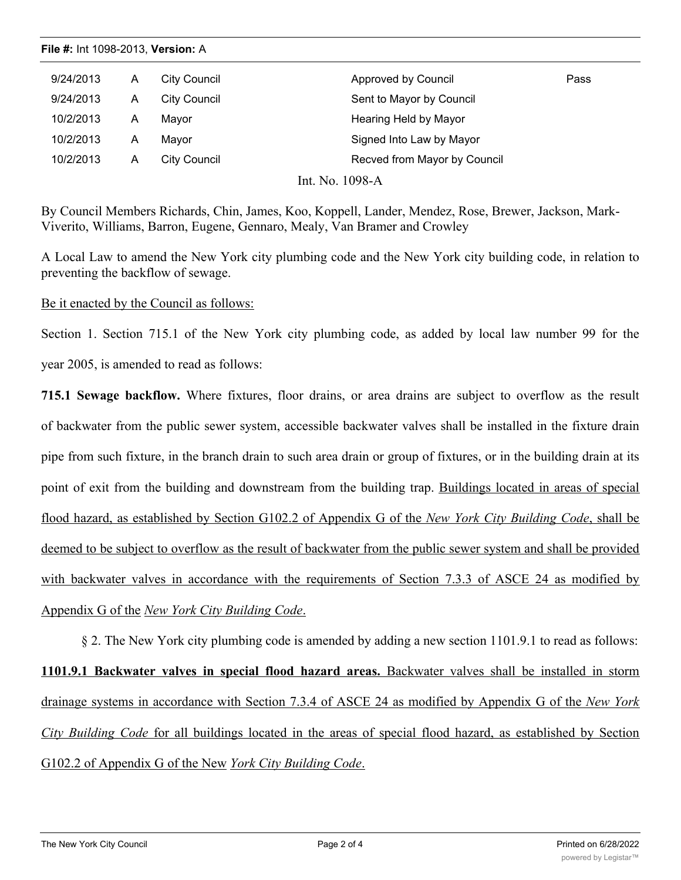|  | <b>File #: Int 1098-2013, Version: A</b> |  |
|--|------------------------------------------|--|
|--|------------------------------------------|--|

| 9/24/2013<br>Approved by Council<br>City Council<br>A          | Pass |
|----------------------------------------------------------------|------|
| 9/24/2013<br>City Council<br>Sent to Mayor by Council<br>Α     |      |
| Hearing Held by Mayor<br>10/2/2013<br>Mavor<br>Α               |      |
| Signed Into Law by Mayor<br>10/2/2013<br>Mayor<br>Α            |      |
| Recved from Mayor by Council<br>10/2/2013<br>City Council<br>Α |      |

Int. No. 1098-A

By Council Members Richards, Chin, James, Koo, Koppell, Lander, Mendez, Rose, Brewer, Jackson, Mark-Viverito, Williams, Barron, Eugene, Gennaro, Mealy, Van Bramer and Crowley

A Local Law to amend the New York city plumbing code and the New York city building code, in relation to preventing the backflow of sewage.

Be it enacted by the Council as follows:

Section 1. Section 715.1 of the New York city plumbing code, as added by local law number 99 for the year 2005, is amended to read as follows:

**715.1 Sewage backflow.** Where fixtures, floor drains, or area drains are subject to overflow as the result of backwater from the public sewer system, accessible backwater valves shall be installed in the fixture drain pipe from such fixture, in the branch drain to such area drain or group of fixtures, or in the building drain at its point of exit from the building and downstream from the building trap. Buildings located in areas of special flood hazard, as established by Section G102.2 of Appendix G of the *New York City Building Code*, shall be deemed to be subject to overflow as the result of backwater from the public sewer system and shall be provided with backwater valves in accordance with the requirements of Section 7.3.3 of ASCE 24 as modified by Appendix G of the *New York City Building Code*.

§ 2. The New York city plumbing code is amended by adding a new section 1101.9.1 to read as follows: **1101.9.1 Backwater valves in special flood hazard areas.** Backwater valves shall be installed in storm drainage systems in accordance with Section 7.3.4 of ASCE 24 as modified by Appendix G of the *New York City Building Code* for all buildings located in the areas of special flood hazard, as established by Section G102.2 of Appendix G of the New *York City Building Code*.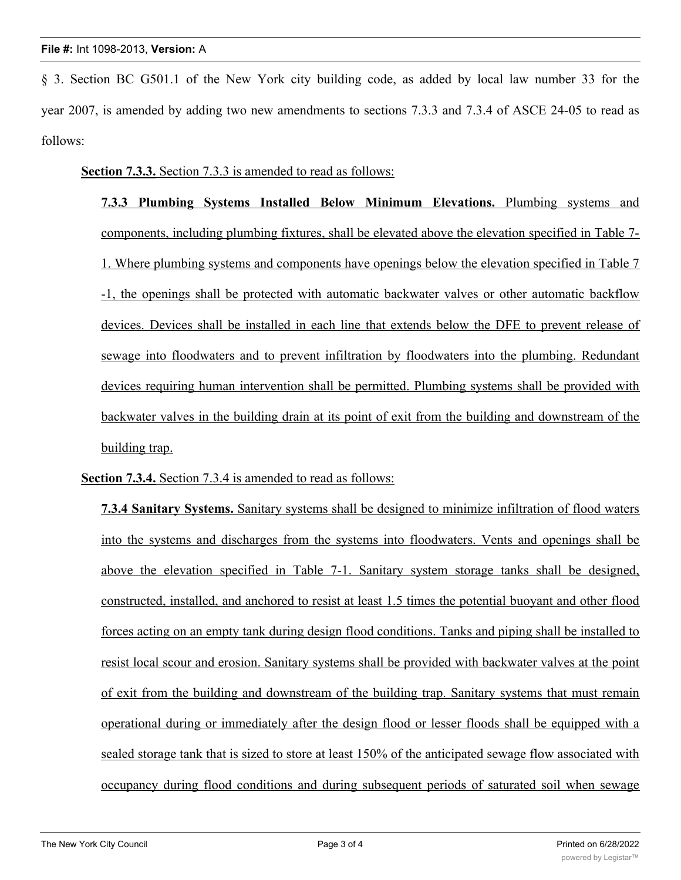§ 3. Section BC G501.1 of the New York city building code, as added by local law number 33 for the year 2007, is amended by adding two new amendments to sections 7.3.3 and 7.3.4 of ASCE 24-05 to read as follows:

**Section 7.3.3.** Section 7.3.3 is amended to read as follows:

**7.3.3 Plumbing Systems Installed Below Minimum Elevations.** Plumbing systems and components, including plumbing fixtures, shall be elevated above the elevation specified in Table 7- 1. Where plumbing systems and components have openings below the elevation specified in Table 7 -1, the openings shall be protected with automatic backwater valves or other automatic backflow devices. Devices shall be installed in each line that extends below the DFE to prevent release of sewage into floodwaters and to prevent infiltration by floodwaters into the plumbing. Redundant devices requiring human intervention shall be permitted. Plumbing systems shall be provided with backwater valves in the building drain at its point of exit from the building and downstream of the building trap.

**Section 7.3.4.** Section 7.3.4 is amended to read as follows:

**7.3.4 Sanitary Systems.** Sanitary systems shall be designed to minimize infiltration of flood waters into the systems and discharges from the systems into floodwaters. Vents and openings shall be above the elevation specified in Table 7-1. Sanitary system storage tanks shall be designed, constructed, installed, and anchored to resist at least 1.5 times the potential buoyant and other flood forces acting on an empty tank during design flood conditions. Tanks and piping shall be installed to resist local scour and erosion. Sanitary systems shall be provided with backwater valves at the point of exit from the building and downstream of the building trap. Sanitary systems that must remain operational during or immediately after the design flood or lesser floods shall be equipped with a sealed storage tank that is sized to store at least 150% of the anticipated sewage flow associated with occupancy during flood conditions and during subsequent periods of saturated soil when sewage